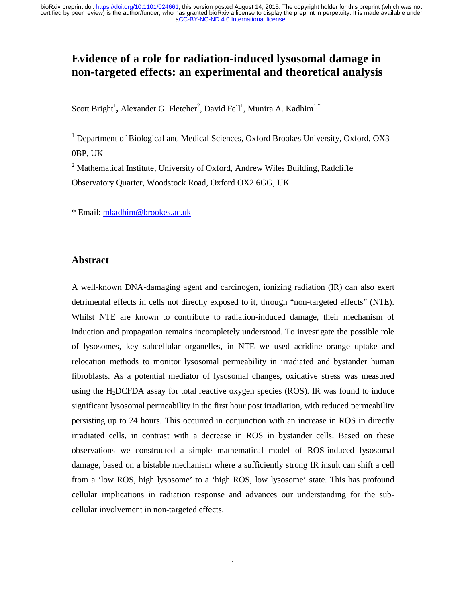# **Evidence of a role for radiation-induced lysosomal damage in non-targeted effects: an experimental and theoretical analysis**

Scott Bright<sup>1</sup>, Alexander G. Fletcher<sup>2</sup>, David Fell<sup>1</sup>, Munira A. Kadhim<sup>1,\*</sup>

<sup>1</sup> Department of Biological and Medical Sciences, Oxford Brookes University, Oxford, OX3 0BP, UK

<sup>2</sup> Mathematical Institute, University of Oxford, Andrew Wiles Building, Radcliffe Observatory Quarter, Woodstock Road, Oxford OX2 6GG, UK

\* Email: mkadhim@brookes.ac.uk

## **Abstract**

A well-known DNA-damaging agent and carcinogen, ionizing radiation (IR) can also exert detrimental effects in cells not directly exposed to it, through "non-targeted effects" (NTE). Whilst NTE are known to contribute to radiation-induced damage, their mechanism of induction and propagation remains incompletely understood. To investigate the possible role of lysosomes, key subcellular organelles, in NTE we used acridine orange uptake and relocation methods to monitor lysosomal permeability in irradiated and bystander human fibroblasts. As a potential mediator of lysosomal changes, oxidative stress was measured using the H<sub>2</sub>DCFDA assay for total reactive oxygen species (ROS). IR was found to induce significant lysosomal permeability in the first hour post irradiation, with reduced permeability persisting up to 24 hours. This occurred in conjunction with an increase in ROS in directly irradiated cells, in contrast with a decrease in ROS in bystander cells. Based on these observations we constructed a simple mathematical model of ROS-induced lysosomal damage, based on a bistable mechanism where a sufficiently strong IR insult can shift a cell from a 'low ROS, high lysosome' to a 'high ROS, low lysosome' state. This has profound cellular implications in radiation response and advances our understanding for the subcellular involvement in non-targeted effects.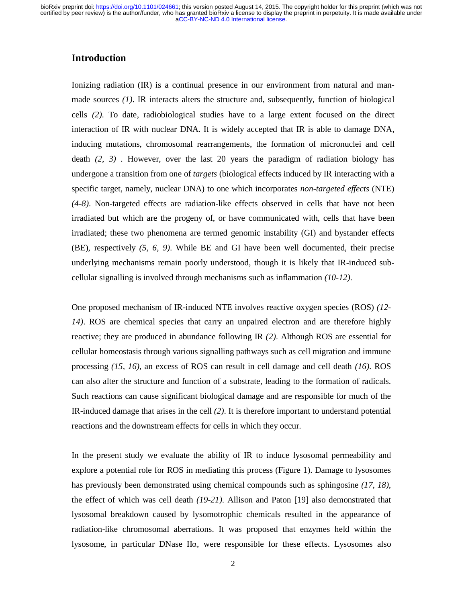[aCC-BY-NC-ND 4.0 International license.](http://creativecommons.org/licenses/by-nc-nd/4.0/) certified by peer review) is the author/funder, who has granted bioRxiv a license to display the preprint in perpetuity. It is made available under bioRxiv preprint doi: [https://doi.org/10.1101/024661;](https://doi.org/10.1101/024661) this version posted August 14, 2015. The copyright holder for this preprint (which was not

# **Introduction**

Ionizing radiation (IR) is a continual presence in our environment from natural and manmade sources *(1)*. IR interacts alters the structure and, subsequently, function of biological cells *(2)*. To date, radiobiological studies have to a large extent focused on the direct interaction of IR with nuclear DNA. It is widely accepted that IR is able to damage DNA, inducing mutations, chromosomal rearrangements, the formation of micronuclei and cell death *(2, 3)* . However, over the last 20 years the paradigm of radiation biology has undergone a transition from one of *targets* (biological effects induced by IR interacting with a specific target, namely, nuclear DNA) to one which incorporates *non-targeted effects* (NTE) *(4-8)*. Non-targeted effects are radiation-like effects observed in cells that have not been irradiated but which are the progeny of, or have communicated with, cells that have been irradiated; these two phenomena are termed genomic instability (GI) and bystander effects (BE), respectively *(5, 6, 9)*. While BE and GI have been well documented, their precise underlying mechanisms remain poorly understood, though it is likely that IR-induced subcellular signalling is involved through mechanisms such as inflammation *(10-12)*.

One proposed mechanism of IR-induced NTE involves reactive oxygen species (ROS) *(12- 14)*. ROS are chemical species that carry an unpaired electron and are therefore highly reactive; they are produced in abundance following IR *(2)*. Although ROS are essential for cellular homeostasis through various signalling pathways such as cell migration and immune processing *(15, 16)*, an excess of ROS can result in cell damage and cell death *(16)*. ROS can also alter the structure and function of a substrate, leading to the formation of radicals. Such reactions can cause significant biological damage and are responsible for much of the IR-induced damage that arises in the cell *(2)*. It is therefore important to understand potential reactions and the downstream effects for cells in which they occur.

In the present study we evaluate the ability of IR to induce lysosomal permeability and explore a potential role for ROS in mediating this process (Figure 1). Damage to lysosomes has previously been demonstrated using chemical compounds such as sphingosine *(17, 18)*, the effect of which was cell death *(19-21)*. Allison and Paton [19] also demonstrated that lysosomal breakdown caused by lysomotrophic chemicals resulted in the appearance of radiation-like chromosomal aberrations. It was proposed that enzymes held within the lysosome, in particular DNase IIα, were responsible for these effects. Lysosomes also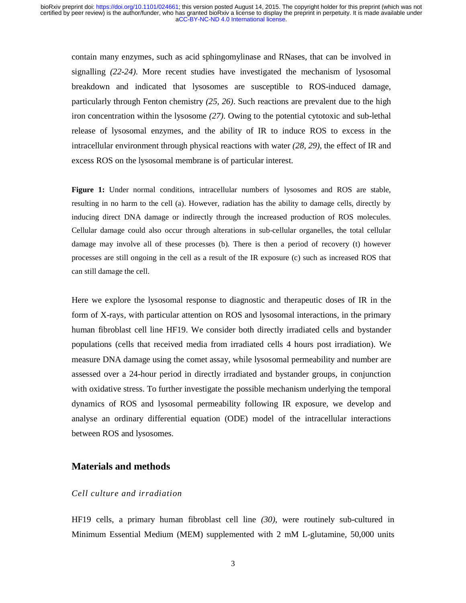contain many enzymes, such as acid sphingomylinase and RNases, that can be involved in signalling *(22-24)*. More recent studies have investigated the mechanism of lysosomal breakdown and indicated that lysosomes are susceptible to ROS-induced damage, particularly through Fenton chemistry *(25, 26)*. Such reactions are prevalent due to the high iron concentration within the lysosome *(27)*. Owing to the potential cytotoxic and sub-lethal release of lysosomal enzymes, and the ability of IR to induce ROS to excess in the intracellular environment through physical reactions with water *(28, 29)*, the effect of IR and excess ROS on the lysosomal membrane is of particular interest.

**Figure 1:** Under normal conditions, intracellular numbers of lysosomes and ROS are stable, resulting in no harm to the cell (a). However, radiation has the ability to damage cells, directly by inducing direct DNA damage or indirectly through the increased production of ROS molecules. Cellular damage could also occur through alterations in sub-cellular organelles, the total cellular damage may involve all of these processes (b). There is then a period of recovery (t) however processes are still ongoing in the cell as a result of the IR exposure (c) such as increased ROS that can still damage the cell.

Here we explore the lysosomal response to diagnostic and therapeutic doses of IR in the form of X-rays, with particular attention on ROS and lysosomal interactions, in the primary human fibroblast cell line HF19. We consider both directly irradiated cells and bystander populations (cells that received media from irradiated cells 4 hours post irradiation). We measure DNA damage using the comet assay, while lysosomal permeability and number are assessed over a 24-hour period in directly irradiated and bystander groups, in conjunction with oxidative stress. To further investigate the possible mechanism underlying the temporal dynamics of ROS and lysosomal permeability following IR exposure, we develop and analyse an ordinary differential equation (ODE) model of the intracellular interactions between ROS and lysosomes.

## **Materials and methods**

#### *Cell culture and irradiation*

HF19 cells, a primary human fibroblast cell line *(30)*, were routinely sub-cultured in Minimum Essential Medium (MEM) supplemented with 2 mM L-glutamine, 50,000 units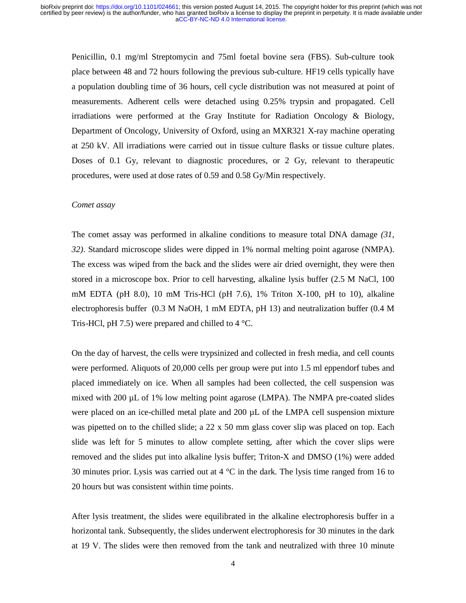Penicillin, 0.1 mg/ml Streptomycin and 75ml foetal bovine sera (FBS). Sub-culture took place between 48 and 72 hours following the previous sub-culture. HF19 cells typically have a population doubling time of 36 hours, cell cycle distribution was not measured at point of measurements. Adherent cells were detached using 0.25% trypsin and propagated. Cell irradiations were performed at the Gray Institute for Radiation Oncology & Biology, Department of Oncology, University of Oxford, using an MXR321 X-ray machine operating at 250 kV. All irradiations were carried out in tissue culture flasks or tissue culture plates. Doses of 0.1 Gy, relevant to diagnostic procedures, or 2 Gy, relevant to therapeutic procedures, were used at dose rates of 0.59 and 0.58 Gy/Min respectively.

#### *Comet assay*

The comet assay was performed in alkaline conditions to measure total DNA damage *(31, 32)*. Standard microscope slides were dipped in 1% normal melting point agarose (NMPA). The excess was wiped from the back and the slides were air dried overnight, they were then stored in a microscope box. Prior to cell harvesting, alkaline lysis buffer (2.5 M NaCl, 100 mM EDTA (pH 8.0), 10 mM Tris-HCl (pH 7.6), 1% Triton X-100, pH to 10), alkaline electrophoresis buffer (0.3 M NaOH, 1 mM EDTA, pH 13) and neutralization buffer (0.4 M Tris-HCl, pH 7.5) were prepared and chilled to 4  $^{\circ}$ C.

On the day of harvest, the cells were trypsinized and collected in fresh media, and cell counts were performed. Aliquots of 20,000 cells per group were put into 1.5 ml eppendorf tubes and placed immediately on ice. When all samples had been collected, the cell suspension was mixed with 200 µL of 1% low melting point agarose (LMPA). The NMPA pre-coated slides were placed on an ice-chilled metal plate and 200 µL of the LMPA cell suspension mixture was pipetted on to the chilled slide; a 22 x 50 mm glass cover slip was placed on top. Each slide was left for 5 minutes to allow complete setting, after which the cover slips were removed and the slides put into alkaline lysis buffer; Triton-X and DMSO (1%) were added 30 minutes prior. Lysis was carried out at 4  $\degree$ C in the dark. The lysis time ranged from 16 to 20 hours but was consistent within time points.

After lysis treatment, the slides were equilibrated in the alkaline electrophoresis buffer in a horizontal tank. Subsequently, the slides underwent electrophoresis for 30 minutes in the dark at 19 V. The slides were then removed from the tank and neutralized with three 10 minute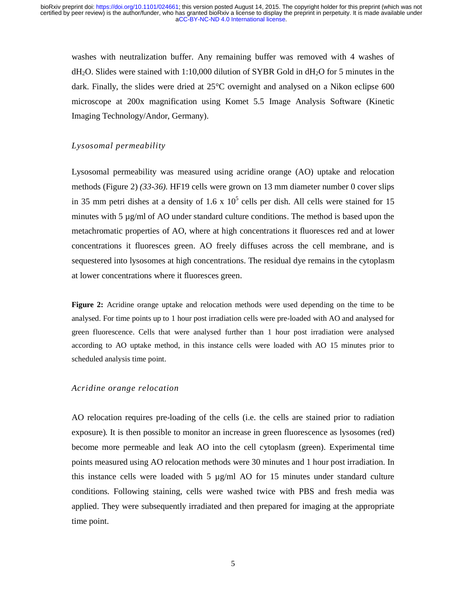washes with neutralization buffer. Any remaining buffer was removed with 4 washes of  $dH_2O$ . Slides were stained with 1:10,000 dilution of SYBR Gold in  $dH_2O$  for 5 minutes in the dark. Finally, the slides were dried at 25°C overnight and analysed on a Nikon eclipse 600 microscope at 200x magnification using Komet 5.5 Image Analysis Software (Kinetic Imaging Technology/Andor, Germany).

#### *Lysosomal permeability*

Lysosomal permeability was measured using acridine orange (AO) uptake and relocation methods (Figure 2) *(33-36)*. HF19 cells were grown on 13 mm diameter number 0 cover slips in 35 mm petri dishes at a density of 1.6 x  $10^5$  cells per dish. All cells were stained for 15 minutes with 5  $\mu$ g/ml of AO under standard culture conditions. The method is based upon the metachromatic properties of AO, where at high concentrations it fluoresces red and at lower concentrations it fluoresces green. AO freely diffuses across the cell membrane, and is sequestered into lysosomes at high concentrations. The residual dye remains in the cytoplasm at lower concentrations where it fluoresces green.

**Figure 2:** Acridine orange uptake and relocation methods were used depending on the time to be analysed. For time points up to 1 hour post irradiation cells were pre-loaded with AO and analysed for green fluorescence. Cells that were analysed further than 1 hour post irradiation were analysed according to AO uptake method, in this instance cells were loaded with AO 15 minutes prior to scheduled analysis time point.

#### *Acridine orange relocation*

AO relocation requires pre-loading of the cells (i.e. the cells are stained prior to radiation exposure). It is then possible to monitor an increase in green fluorescence as lysosomes (red) become more permeable and leak AO into the cell cytoplasm (green). Experimental time points measured using AO relocation methods were 30 minutes and 1 hour post irradiation. In this instance cells were loaded with 5  $\mu$ g/ml AO for 15 minutes under standard culture conditions. Following staining, cells were washed twice with PBS and fresh media was applied. They were subsequently irradiated and then prepared for imaging at the appropriate time point.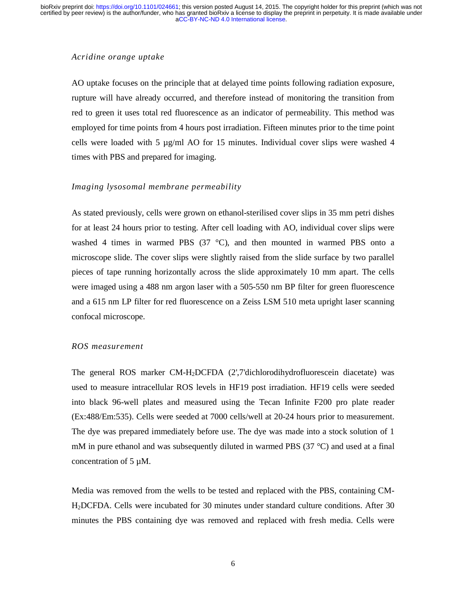### *Acridine orange uptake*

AO uptake focuses on the principle that at delayed time points following radiation exposure, rupture will have already occurred, and therefore instead of monitoring the transition from red to green it uses total red fluorescence as an indicator of permeability. This method was employed for time points from 4 hours post irradiation. Fifteen minutes prior to the time point cells were loaded with 5  $\mu$ g/ml AO for 15 minutes. Individual cover slips were washed 4 times with PBS and prepared for imaging.

## *Imaging lysosomal membrane permeability*

As stated previously, cells were grown on ethanol-sterilised cover slips in 35 mm petri dishes for at least 24 hours prior to testing. After cell loading with AO, individual cover slips were washed 4 times in warmed PBS  $(37 \degree C)$ , and then mounted in warmed PBS onto a microscope slide. The cover slips were slightly raised from the slide surface by two parallel pieces of tape running horizontally across the slide approximately 10 mm apart. The cells were imaged using a 488 nm argon laser with a 505-550 nm BP filter for green fluorescence and a 615 nm LP filter for red fluorescence on a Zeiss LSM 510 meta upright laser scanning confocal microscope.

#### *ROS measurement*

The general ROS marker CM-H2DCFDA (2',7'dichlorodihydrofluorescein diacetate) was used to measure intracellular ROS levels in HF19 post irradiation. HF19 cells were seeded into black 96-well plates and measured using the Tecan Infinite F200 pro plate reader (Ex:488/Em:535). Cells were seeded at 7000 cells/well at 20-24 hours prior to measurement. The dye was prepared immediately before use. The dye was made into a stock solution of 1 mM in pure ethanol and was subsequently diluted in warmed PBS (37 °C) and used at a final concentration of 5 µM.

Media was removed from the wells to be tested and replaced with the PBS, containing CM-H2DCFDA. Cells were incubated for 30 minutes under standard culture conditions. After 30 minutes the PBS containing dye was removed and replaced with fresh media. Cells were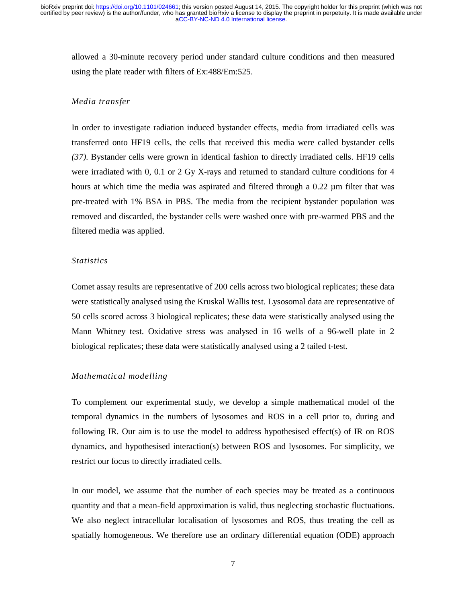allowed a 30-minute recovery period under standard culture conditions and then measured using the plate reader with filters of Ex:488/Em:525.

## *Media transfer*

In order to investigate radiation induced bystander effects, media from irradiated cells was transferred onto HF19 cells, the cells that received this media were called bystander cells *(37)*. Bystander cells were grown in identical fashion to directly irradiated cells. HF19 cells were irradiated with 0, 0.1 or 2 Gy X-rays and returned to standard culture conditions for 4 hours at which time the media was aspirated and filtered through a 0.22  $\mu$ m filter that was pre-treated with 1% BSA in PBS. The media from the recipient bystander population was removed and discarded, the bystander cells were washed once with pre-warmed PBS and the filtered media was applied.

## *Statistics*

Comet assay results are representative of 200 cells across two biological replicates; these data were statistically analysed using the Kruskal Wallis test. Lysosomal data are representative of 50 cells scored across 3 biological replicates; these data were statistically analysed using the Mann Whitney test. Oxidative stress was analysed in 16 wells of a 96-well plate in 2 biological replicates; these data were statistically analysed using a 2 tailed t-test.

## *Mathematical modelling*

To complement our experimental study, we develop a simple mathematical model of the temporal dynamics in the numbers of lysosomes and ROS in a cell prior to, during and following IR. Our aim is to use the model to address hypothesised effect(s) of IR on ROS dynamics, and hypothesised interaction(s) between ROS and lysosomes. For simplicity, we restrict our focus to directly irradiated cells.

In our model, we assume that the number of each species may be treated as a continuous quantity and that a mean-field approximation is valid, thus neglecting stochastic fluctuations. We also neglect intracellular localisation of lysosomes and ROS, thus treating the cell as spatially homogeneous. We therefore use an ordinary differential equation (ODE) approach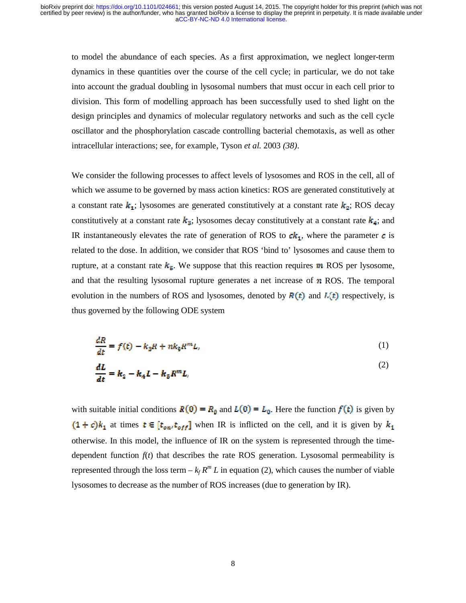to model the abundance of each species. As a first approximation, we neglect longer-term dynamics in these quantities over the course of the cell cycle; in particular, we do not take into account the gradual doubling in lysosomal numbers that must occur in each cell prior to division. This form of modelling approach has been successfully used to shed light on the design principles and dynamics of molecular regulatory networks and such as the cell cycle oscillator and the phosphorylation cascade controlling bacterial chemotaxis, as well as other intracellular interactions; see, for example, Tyson *et al.* 2003 *(38)*.

We consider the following processes to affect levels of lysosomes and ROS in the cell, all of which we assume to be governed by mass action kinetics: ROS are generated constitutively at a constant rate  $k_1$ ; lysosomes are generated constitutively at a constant rate  $k_2$ ; ROS decay constitutively at a constant rate  $k_3$ ; lysosomes decay constitutively at a constant rate  $k_4$ ; and IR instantaneously elevates the rate of generation of ROS to  $ck_1$ , where the parameter c is related to the dose. In addition, we consider that ROS 'bind to' lysosomes and cause them to rupture, at a constant rate  $k_{\rm s}$ . We suppose that this reaction requires  $m$  ROS per lysosome, and that the resulting lysosomal rupture generates a net increase of  $n$  ROS. The temporal evolution in the numbers of ROS and lysosomes, denoted by  $R(t)$  and  $L(t)$  respectively, is thus governed by the following ODE system

$$
\frac{dR}{dt} = f(t) - k_3 R + n k_3 R^m L,\tag{1}
$$

$$
\frac{dL}{dt} = k_2 - k_4 L - k_5 R^m L,\tag{2}
$$

with suitable initial conditions  $\mathbf{R}(0) = \mathbf{R}_0$  and  $L(0) = L_0$ . Here the function  $f(t)$  is given by  $(1+c)k_1$  at times  $t \in [t_{on}, t_{off}]$  when IR is inflicted on the cell, and it is given by  $k_1$ otherwise. In this model, the influence of IR on the system is represented through the timedependent function  $f(t)$  that describes the rate ROS generation. Lysosomal permeability is represented through the loss term  $-k_f R^m L$  in equation (2), which causes the number of viable lysosomes to decrease as the number of ROS increases (due to generation by IR).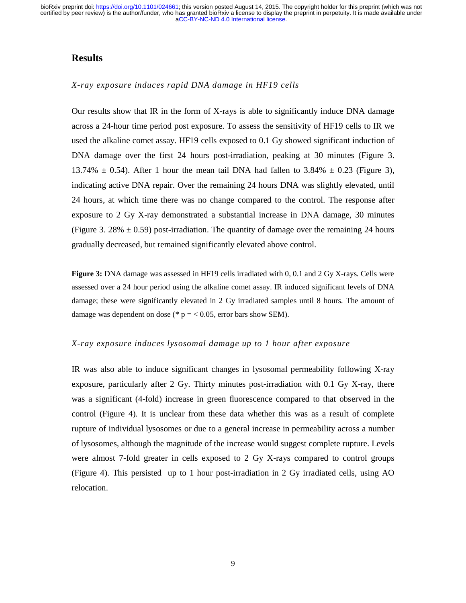## **Results**

#### *X-ray exposure induces rapid DNA damage in HF19 cells*

Our results show that IR in the form of X-rays is able to significantly induce DNA damage across a 24-hour time period post exposure. To assess the sensitivity of HF19 cells to IR we used the alkaline comet assay. HF19 cells exposed to 0.1 Gy showed significant induction of DNA damage over the first 24 hours post-irradiation, peaking at 30 minutes (Figure 3. 13.74%  $\pm$  0.54). After 1 hour the mean tail DNA had fallen to 3.84%  $\pm$  0.23 (Figure 3), indicating active DNA repair. Over the remaining 24 hours DNA was slightly elevated, until 24 hours, at which time there was no change compared to the control. The response after exposure to 2 Gy X-ray demonstrated a substantial increase in DNA damage, 30 minutes (Figure 3. 28%  $\pm$  0.59) post-irradiation. The quantity of damage over the remaining 24 hours gradually decreased, but remained significantly elevated above control.

**Figure 3:** DNA damage was assessed in HF19 cells irradiated with 0, 0.1 and 2 Gy X-rays. Cells were assessed over a 24 hour period using the alkaline comet assay. IR induced significant levels of DNA damage; these were significantly elevated in 2 Gy irradiated samples until 8 hours. The amount of damage was dependent on dose (\*  $p = < 0.05$ , error bars show SEM).

#### *X-ray exposure induces lysosomal damage up to 1 hour after exposure*

IR was also able to induce significant changes in lysosomal permeability following X-ray exposure, particularly after 2 Gy. Thirty minutes post-irradiation with 0.1 Gy X-ray, there was a significant (4-fold) increase in green fluorescence compared to that observed in the control (Figure 4). It is unclear from these data whether this was as a result of complete rupture of individual lysosomes or due to a general increase in permeability across a number of lysosomes, although the magnitude of the increase would suggest complete rupture. Levels were almost 7-fold greater in cells exposed to 2 Gy X-rays compared to control groups (Figure 4). This persisted up to 1 hour post-irradiation in 2 Gy irradiated cells, using AO relocation.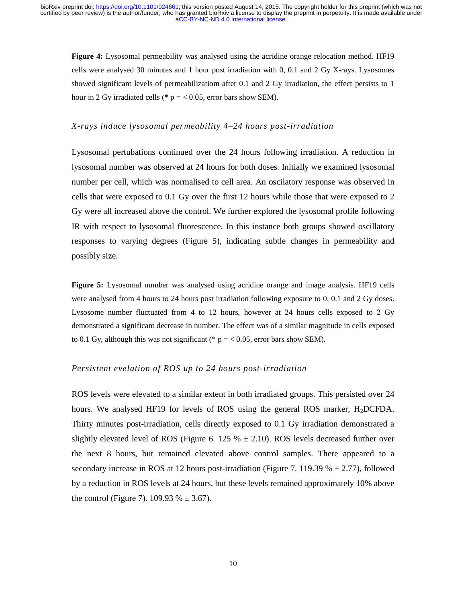**Figure 4:** Lysosomal permeability was analysed using the acridine orange relocation method. HF19 cells were analysed 30 minutes and 1 hour post irradiation with 0, 0.1 and 2 Gy X-rays. Lysosomes showed significant levels of permeabilizatiom after 0.1 and 2 Gy irradiation, the effect persists to 1 hour in 2 Gy irradiated cells (\*  $p = < 0.05$ , error bars show SEM).

#### *X-rays induce lysosomal permeability 4–24 hours post-irradiation*

Lysosomal pertubations continued over the 24 hours following irradiation. A reduction in lysosomal number was observed at 24 hours for both doses. Initially we examined lysosomal number per cell, which was normalised to cell area. An oscilatory response was observed in cells that were exposed to 0.1 Gy over the first 12 hours while those that were exposed to 2 Gy were all increased above the control. We further explored the lysosomal profile following IR with respect to lysosomal fluorescence. In this instance both groups showed oscillatory responses to varying degrees (Figure 5), indicating subtle changes in permeability and possibly size.

**Figure 5:** Lysosomal number was analysed using acridine orange and image analysis. HF19 cells were analysed from 4 hours to 24 hours post irradiation following exposure to 0, 0.1 and 2 Gy doses. Lysosome number fluctuated from 4 to 12 hours, however at 24 hours cells exposed to 2 Gy demonstrated a significant decrease in number. The effect was of a similar magnitude in cells exposed to 0.1 Gy, although this was not significant (\*  $p = < 0.05$ , error bars show SEM).

#### *Persistent evelation of ROS up to 24 hours post-irradiation*

ROS levels were elevated to a similar extent in both irradiated groups. This persisted over 24 hours. We analysed HF19 for levels of ROS using the general ROS marker,  $H_2DCFDA$ . Thirty minutes post-irradiation, cells directly exposed to 0.1 Gy irradiation demonstrated a slightly elevated level of ROS (Figure 6. 125 %  $\pm$  2.10). ROS levels decreased further over the next 8 hours, but remained elevated above control samples. There appeared to a secondary increase in ROS at 12 hours post-irradiation (Figure 7. 119.39  $% \pm 2.77$ ), followed by a reduction in ROS levels at 24 hours, but these levels remained approximately 10% above the control (Figure 7). 109.93 %  $\pm$  3.67).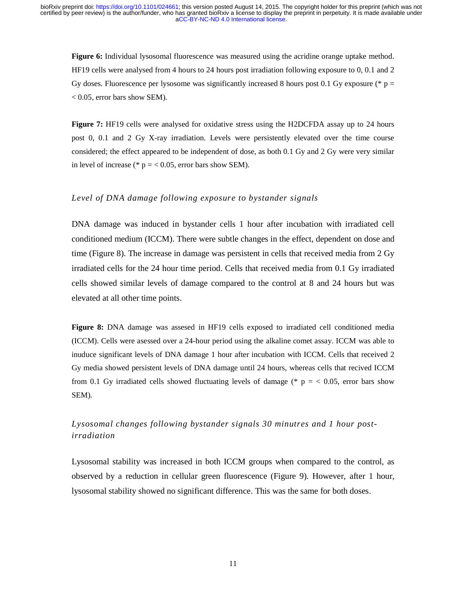**Figure 6:** Individual lysosomal fluorescence was measured using the acridine orange uptake method. HF19 cells were analysed from 4 hours to 24 hours post irradiation following exposure to 0, 0.1 and 2 Gy doses. Fluorescence per lysosome was significantly increased 8 hours post 0.1 Gy exposure (\*  $p =$ < 0.05, error bars show SEM).

**Figure 7:** HF19 cells were analysed for oxidative stress using the H2DCFDA assay up to 24 hours post 0, 0.1 and 2 Gy X-ray irradiation. Levels were persistently elevated over the time course considered; the effect appeared to be independent of dose, as both 0.1 Gy and 2 Gy were very similar in level of increase (\*  $p = < 0.05$ , error bars show SEM).

#### *Level of DNA damage following exposure to bystander signals*

DNA damage was induced in bystander cells 1 hour after incubation with irradiated cell conditioned medium (ICCM). There were subtle changes in the effect, dependent on dose and time (Figure 8). The increase in damage was persistent in cells that received media from 2 Gy irradiated cells for the 24 hour time period. Cells that received media from 0.1 Gy irradiated cells showed similar levels of damage compared to the control at 8 and 24 hours but was elevated at all other time points.

**Figure 8:** DNA damage was assesed in HF19 cells exposed to irradiated cell conditioned media (ICCM). Cells were asessed over a 24-hour period using the alkaline comet assay. ICCM was able to inuduce significant levels of DNA damage 1 hour after incubation with ICCM. Cells that received 2 Gy media showed persistent levels of DNA damage until 24 hours, whereas cells that recived ICCM from 0.1 Gy irradiated cells showed fluctuating levels of damage (\*  $p = < 0.05$ , error bars show SEM).

# *Lysosomal changes following bystander signals 30 minutres and 1 hour postirradiation*

Lysosomal stability was increased in both ICCM groups when compared to the control, as observed by a reduction in cellular green fluorescence (Figure 9). However, after 1 hour, lysosomal stability showed no significant difference. This was the same for both doses.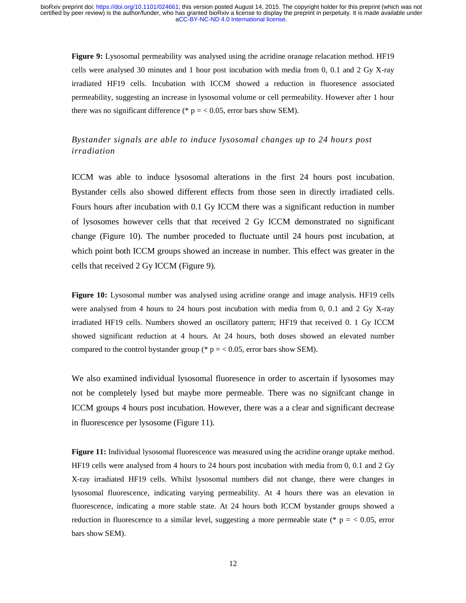[aCC-BY-NC-ND 4.0 International license.](http://creativecommons.org/licenses/by-nc-nd/4.0/) certified by peer review) is the author/funder, who has granted bioRxiv a license to display the preprint in perpetuity. It is made available under bioRxiv preprint doi: [https://doi.org/10.1101/024661;](https://doi.org/10.1101/024661) this version posted August 14, 2015. The copyright holder for this preprint (which was not

**Figure 9:** Lysosomal permeability was analysed using the acridine oranage relacation method. HF19 cells were analysed 30 minutes and 1 hour post incubation with media from 0, 0.1 and 2 Gy X-ray irradiated HF19 cells. Incubation with ICCM showed a reduction in fluoresence associated permeability, suggesting an increase in lysosomal volume or cell permeability. However after 1 hour there was no significant difference (\*  $p = < 0.05$ , error bars show SEM).

# *Bystander signals are able to induce lysosomal changes up to 24 hours post irradiation*

ICCM was able to induce lysosomal alterations in the first 24 hours post incubation. Bystander cells also showed different effects from those seen in directly irradiated cells. Fours hours after incubation with 0.1 Gy ICCM there was a significant reduction in number of lysosomes however cells that that received 2 Gy ICCM demonstrated no significant change (Figure 10). The number proceded to fluctuate until 24 hours post incubation, at which point both ICCM groups showed an increase in number. This effect was greater in the cells that received 2 Gy ICCM (Figure 9).

**Figure 10:** Lysosomal number was analysed using acridine orange and image analysis. HF19 cells were analysed from 4 hours to 24 hours post incubation with media from 0, 0.1 and 2 Gy X-ray irradiated HF19 cells. Numbers showed an oscillatory pattern; HF19 that received 0. 1 Gy ICCM showed significant reduction at 4 hours. At 24 hours, both doses showed an elevated number compared to the control bystander group (\*  $p = 0.05$ , error bars show SEM).

We also examined individual lysosomal fluoresence in order to ascertain if lysosomes may not be completely lysed but maybe more permeable. There was no signifcant change in ICCM groups 4 hours post incubation. However, there was a a clear and significant decrease in fluorescence per lysosome (Figure 11).

**Figure 11:** Individual lysosomal fluorescence was measured using the acridine orange uptake method. HF19 cells were analysed from 4 hours to 24 hours post incubation with media from 0, 0.1 and 2 Gy X-ray irradiated HF19 cells. Whilst lysosomal numbers did not change, there were changes in lysosomal fluorescence, indicating varying permeability. At 4 hours there was an elevation in fluorescence, indicating a more stable state. At 24 hours both ICCM bystander groups showed a reduction in fluorescence to a similar level, suggesting a more permeable state (\*  $p = < 0.05$ , error bars show SEM).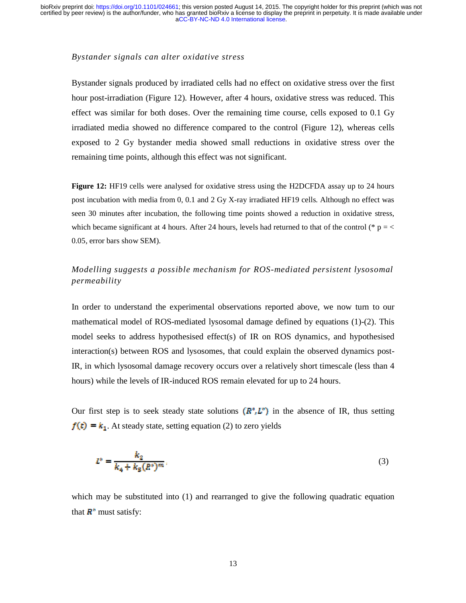#### *Bystander signals can alter oxidative stress*

Bystander signals produced by irradiated cells had no effect on oxidative stress over the first hour post-irradiation (Figure 12). However, after 4 hours, oxidative stress was reduced. This effect was similar for both doses. Over the remaining time course, cells exposed to 0.1 Gy irradiated media showed no difference compared to the control (Figure 12), whereas cells exposed to 2 Gy bystander media showed small reductions in oxidative stress over the remaining time points, although this effect was not significant.

**Figure 12:** HF19 cells were analysed for oxidative stress using the H2DCFDA assay up to 24 hours post incubation with media from 0, 0.1 and 2 Gy X-ray irradiated HF19 cells. Although no effect was seen 30 minutes after incubation, the following time points showed a reduction in oxidative stress, which became significant at 4 hours. After 24 hours, levels had returned to that of the control (\*  $p =$  < 0.05, error bars show SEM).

# *Modelling suggests a possible mechanism for ROS-mediated persistent lysosomal permeability*

In order to understand the experimental observations reported above, we now turn to our mathematical model of ROS-mediated lysosomal damage defined by equations (1)-(2). This model seeks to address hypothesised effect(s) of IR on ROS dynamics, and hypothesised interaction(s) between ROS and lysosomes, that could explain the observed dynamics post-IR, in which lysosomal damage recovery occurs over a relatively short timescale (less than 4 hours) while the levels of IR-induced ROS remain elevated for up to 24 hours.

Our first step is to seek steady state solutions  $(R^*, L^*)$  in the absence of IR, thus setting  $f(\mathbf{r}) = k_1$ . At steady state, setting equation (2) to zero yields

$$
L^* = \frac{k_2}{k_4 + k_5 (R^*)^m} \tag{3}
$$

which may be substituted into (1) and rearranged to give the following quadratic equation that  $\mathbf{R}^*$  must satisfy: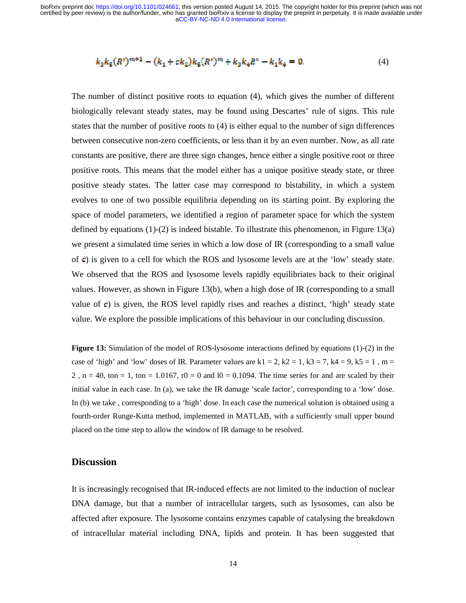$$
k_{\rm s}k_{\rm s}(R^{\circ})^{m+1} - (k_1 + ck_2)k_{\rm s}(R^{\circ})^m + k_3k_4R^{\circ} - k_1k_4 = 0. \tag{4}
$$

The number of distinct positive roots to equation (4), which gives the number of different biologically relevant steady states, may be found using Descartes' rule of signs. This rule states that the number of positive roots to (4) is either equal to the number of sign differences between consecutive non-zero coefficients, or less than it by an even number. Now, as all rate constants are positive, there are three sign changes, hence either a single positive root or three positive roots. This means that the model either has a unique positive steady state, or three positive steady states. The latter case may correspond to bistability, in which a system evolves to one of two possible equilibria depending on its starting point. By exploring the space of model parameters, we identified a region of parameter space for which the system defined by equations  $(1)-(2)$  is indeed bistable. To illustrate this phenomenon, in Figure 13(a) we present a simulated time series in which a low dose of IR (corresponding to a small value of  $\epsilon$ ) is given to a cell for which the ROS and lysosome levels are at the 'low' steady state. We observed that the ROS and lysosome levels rapidly equilibriates back to their original values. However, as shown in Figure 13(b), when a high dose of IR (corresponding to a small value of  $\epsilon$ ) is given, the ROS level rapidly rises and reaches a distinct, 'high' steady state value. We explore the possible implications of this behaviour in our concluding discussion.

**Figure 13:** Simulation of the model of ROS-lysosome interactions defined by equations (1)-(2) in the case of 'high' and 'low' doses of IR. Parameter values are  $k1 = 2$ ,  $k2 = 1$ ,  $k3 = 7$ ,  $k4 = 9$ ,  $k5 = 1$ , m = 2,  $n = 40$ , ton = 1, ton = 1.0167, r0 = 0 and  $10 = 0.1094$ . The time series for and are scaled by their initial value in each case. In (a), we take the IR damage 'scale factor', corresponding to a 'low' dose. In (b) we take , corresponding to a 'high' dose. In each case the numerical solution is obtained using a fourth-order Runge-Kutta method, implemented in MATLAB, with a sufficiently small upper bound placed on the time step to allow the window of IR damage to be resolved.

### **Discussion**

It is increasingly recognised that IR-induced effects are not limited to the induction of nuclear DNA damage, but that a number of intracellular targets, such as lysosomes, can also be affected after exposure. The lysosome contains enzymes capable of catalysing the breakdown of intracellular material including DNA, lipids and protein. It has been suggested that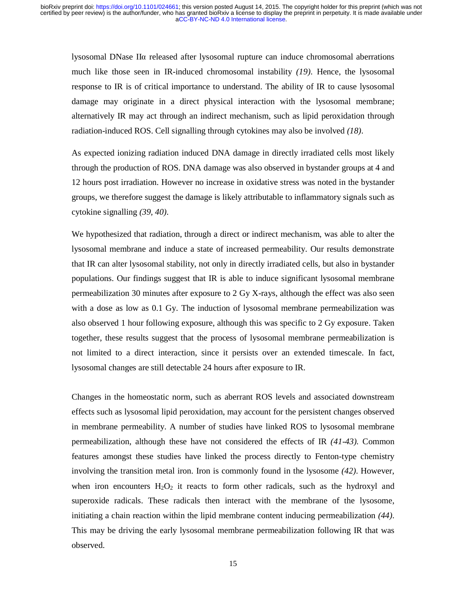lysosomal DNase IIα released after lysosomal rupture can induce chromosomal aberrations much like those seen in IR-induced chromosomal instability *(19)*. Hence, the lysosomal response to IR is of critical importance to understand. The ability of IR to cause lysosomal damage may originate in a direct physical interaction with the lysosomal membrane; alternatively IR may act through an indirect mechanism, such as lipid peroxidation through radiation-induced ROS. Cell signalling through cytokines may also be involved *(18)*.

As expected ionizing radiation induced DNA damage in directly irradiated cells most likely through the production of ROS. DNA damage was also observed in bystander groups at 4 and 12 hours post irradiation. However no increase in oxidative stress was noted in the bystander groups, we therefore suggest the damage is likely attributable to inflammatory signals such as cytokine signalling *(39, 40)*.

We hypothesized that radiation, through a direct or indirect mechanism, was able to alter the lysosomal membrane and induce a state of increased permeability. Our results demonstrate that IR can alter lysosomal stability, not only in directly irradiated cells, but also in bystander populations. Our findings suggest that IR is able to induce significant lysosomal membrane permeabilization 30 minutes after exposure to 2 Gy X-rays, although the effect was also seen with a dose as low as 0.1 Gy. The induction of lysosomal membrane permeabilization was also observed 1 hour following exposure, although this was specific to 2 Gy exposure. Taken together, these results suggest that the process of lysosomal membrane permeabilization is not limited to a direct interaction, since it persists over an extended timescale. In fact, lysosomal changes are still detectable 24 hours after exposure to IR.

Changes in the homeostatic norm, such as aberrant ROS levels and associated downstream effects such as lysosomal lipid peroxidation, may account for the persistent changes observed in membrane permeability. A number of studies have linked ROS to lysosomal membrane permeabilization, although these have not considered the effects of IR *(41-43)*. Common features amongst these studies have linked the process directly to Fenton-type chemistry involving the transition metal iron. Iron is commonly found in the lysosome *(42)*. However, when iron encounters  $H_2O_2$  it reacts to form other radicals, such as the hydroxyl and superoxide radicals. These radicals then interact with the membrane of the lysosome, initiating a chain reaction within the lipid membrane content inducing permeabilization *(44)*. This may be driving the early lysosomal membrane permeabilization following IR that was observed.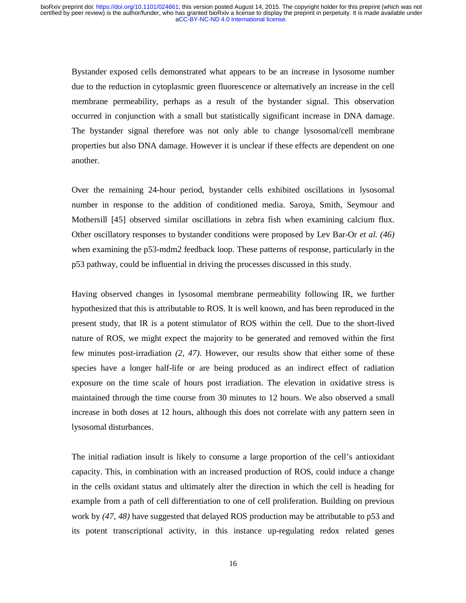Bystander exposed cells demonstrated what appears to be an increase in lysosome number due to the reduction in cytoplasmic green fluorescence or alternatively an increase in the cell membrane permeability, perhaps as a result of the bystander signal. This observation occurred in conjunction with a small but statistically significant increase in DNA damage. The bystander signal therefore was not only able to change lysosomal/cell membrane properties but also DNA damage. However it is unclear if these effects are dependent on one another.

Over the remaining 24-hour period, bystander cells exhibited oscillations in lysosomal number in response to the addition of conditioned media. Saroya, Smith, Seymour and Mothersill [45] observed similar oscillations in zebra fish when examining calcium flux. Other oscillatory responses to bystander conditions were proposed by Lev Bar-Or *et al. (46)* when examining the p53-mdm2 feedback loop. These patterns of response, particularly in the p53 pathway, could be influential in driving the processes discussed in this study.

Having observed changes in lysosomal membrane permeability following IR, we further hypothesized that this is attributable to ROS. It is well known, and has been reproduced in the present study, that IR is a potent stimulator of ROS within the cell. Due to the short-lived nature of ROS, we might expect the majority to be generated and removed within the first few minutes post-irradiation *(2, 47)*. However, our results show that either some of these species have a longer half-life or are being produced as an indirect effect of radiation exposure on the time scale of hours post irradiation. The elevation in oxidative stress is maintained through the time course from 30 minutes to 12 hours. We also observed a small increase in both doses at 12 hours, although this does not correlate with any pattern seen in lysosomal disturbances.

The initial radiation insult is likely to consume a large proportion of the cell's antioxidant capacity. This, in combination with an increased production of ROS, could induce a change in the cells oxidant status and ultimately alter the direction in which the cell is heading for example from a path of cell differentiation to one of cell proliferation. Building on previous work by *(47, 48)* have suggested that delayed ROS production may be attributable to p53 and its potent transcriptional activity, in this instance up-regulating redox related genes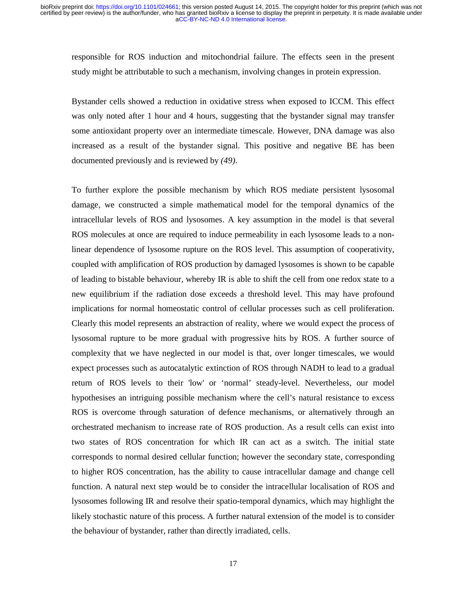responsible for ROS induction and mitochondrial failure. The effects seen in the present study might be attributable to such a mechanism, involving changes in protein expression.

Bystander cells showed a reduction in oxidative stress when exposed to ICCM. This effect was only noted after 1 hour and 4 hours, suggesting that the bystander signal may transfer some antioxidant property over an intermediate timescale. However, DNA damage was also increased as a result of the bystander signal. This positive and negative BE has been documented previously and is reviewed by *(49)*.

To further explore the possible mechanism by which ROS mediate persistent lysosomal damage, we constructed a simple mathematical model for the temporal dynamics of the intracellular levels of ROS and lysosomes. A key assumption in the model is that several ROS molecules at once are required to induce permeability in each lysosome leads to a nonlinear dependence of lysosome rupture on the ROS level. This assumption of cooperativity, coupled with amplification of ROS production by damaged lysosomes is shown to be capable of leading to bistable behaviour, whereby IR is able to shift the cell from one redox state to a new equilibrium if the radiation dose exceeds a threshold level. This may have profound implications for normal homeostatic control of cellular processes such as cell proliferation. Clearly this model represents an abstraction of reality, where we would expect the process of lysosomal rupture to be more gradual with progressive hits by ROS. A further source of complexity that we have neglected in our model is that, over longer timescales, we would expect processes such as autocatalytic extinction of ROS through NADH to lead to a gradual return of ROS levels to their 'low' or 'normal' steady-level. Nevertheless, our model hypothesises an intriguing possible mechanism where the cell's natural resistance to excess ROS is overcome through saturation of defence mechanisms, or alternatively through an orchestrated mechanism to increase rate of ROS production. As a result cells can exist into two states of ROS concentration for which IR can act as a switch. The initial state corresponds to normal desired cellular function; however the secondary state, corresponding to higher ROS concentration, has the ability to cause intracellular damage and change cell function. A natural next step would be to consider the intracellular localisation of ROS and lysosomes following IR and resolve their spatio-temporal dynamics, which may highlight the likely stochastic nature of this process. A further natural extension of the model is to consider the behaviour of bystander, rather than directly irradiated, cells.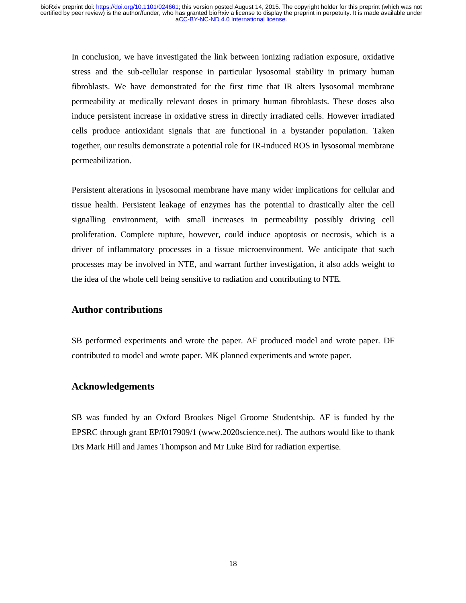In conclusion, we have investigated the link between ionizing radiation exposure, oxidative stress and the sub-cellular response in particular lysosomal stability in primary human fibroblasts. We have demonstrated for the first time that IR alters lysosomal membrane permeability at medically relevant doses in primary human fibroblasts. These doses also induce persistent increase in oxidative stress in directly irradiated cells. However irradiated cells produce antioxidant signals that are functional in a bystander population. Taken together, our results demonstrate a potential role for IR-induced ROS in lysosomal membrane permeabilization.

Persistent alterations in lysosomal membrane have many wider implications for cellular and tissue health. Persistent leakage of enzymes has the potential to drastically alter the cell signalling environment, with small increases in permeability possibly driving cell proliferation. Complete rupture, however, could induce apoptosis or necrosis, which is a driver of inflammatory processes in a tissue microenvironment. We anticipate that such processes may be involved in NTE, and warrant further investigation, it also adds weight to the idea of the whole cell being sensitive to radiation and contributing to NTE.

# **Author contributions**

SB performed experiments and wrote the paper. AF produced model and wrote paper. DF contributed to model and wrote paper. MK planned experiments and wrote paper.

# **Acknowledgements**

SB was funded by an Oxford Brookes Nigel Groome Studentship. AF is funded by the EPSRC through grant EP/I017909/1 (www.2020science.net). The authors would like to thank Drs Mark Hill and James Thompson and Mr Luke Bird for radiation expertise.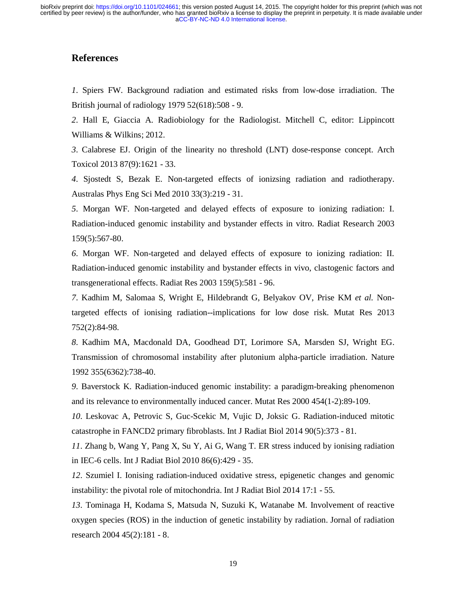## **References**

*1*. Spiers FW. Background radiation and estimated risks from low-dose irradiation. The British journal of radiology 1979 52(618):508 - 9.

*2*. Hall E, Giaccia A. Radiobiology for the Radiologist. Mitchell C, editor: Lippincott Williams & Wilkins; 2012.

*3*. Calabrese EJ. Origin of the linearity no threshold (LNT) dose-response concept. Arch Toxicol 2013 87(9):1621 - 33.

*4*. Sjostedt S, Bezak E. Non-targeted effects of ionizsing radiation and radiotherapy. Australas Phys Eng Sci Med 2010 33(3):219 - 31.

*5*. Morgan WF. Non-targeted and delayed effects of exposure to ionizing radiation: I. Radiation-induced genomic instability and bystander effects in vitro. Radiat Research 2003 159(5):567-80.

*6*. Morgan WF. Non-targeted and delayed effects of exposure to ionizing radiation: II. Radiation-induced genomic instability and bystander effects in vivo, clastogenic factors and transgenerational effects. Radiat Res 2003 159(5):581 - 96.

*7*. Kadhim M, Salomaa S, Wright E, Hildebrandt G, Belyakov OV, Prise KM *et al.* Nontargeted effects of ionising radiation--implications for low dose risk. Mutat Res 2013 752(2):84-98.

*8*. Kadhim MA, Macdonald DA, Goodhead DT, Lorimore SA, Marsden SJ, Wright EG. Transmission of chromosomal instability after plutonium alpha-particle irradiation. Nature 1992 355(6362):738-40.

*9*. Baverstock K. Radiation-induced genomic instability: a paradigm-breaking phenomenon and its relevance to environmentally induced cancer. Mutat Res 2000 454(1-2):89-109.

*10*. Leskovac A, Petrovic S, Guc-Scekic M, Vujic D, Joksic G. Radiation-induced mitotic catastrophe in FANCD2 primary fibroblasts. Int J Radiat Biol 2014 90(5):373 - 81.

*11*. Zhang b, Wang Y, Pang X, Su Y, Ai G, Wang T. ER stress induced by ionising radiation in IEC-6 cells. Int J Radiat Biol 2010 86(6):429 - 35.

*12*. Szumiel I. Ionising radiation-induced oxidative stress, epigenetic changes and genomic instability: the pivotal role of mitochondria. Int J Radiat Biol 2014 17:1 - 55.

*13*. Tominaga H, Kodama S, Matsuda N, Suzuki K, Watanabe M. Involvement of reactive oxygen species (ROS) in the induction of genetic instability by radiation. Jornal of radiation research 2004 45(2):181 - 8.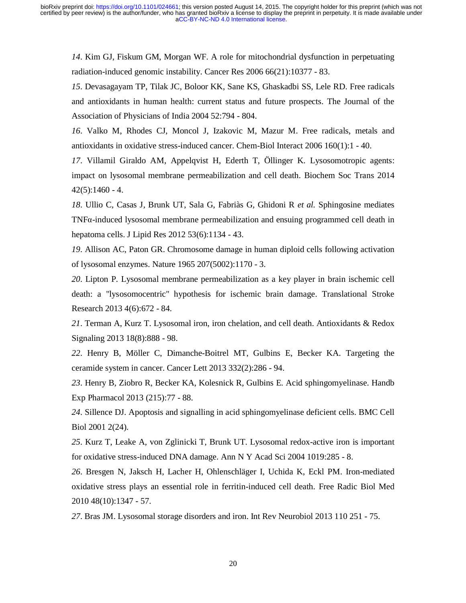*14*. Kim GJ, Fiskum GM, Morgan WF. A role for mitochondrial dysfunction in perpetuating radiation-induced genomic instability. Cancer Res 2006 66(21):10377 - 83.

*15*. Devasagayam TP, Tilak JC, Boloor KK, Sane KS, Ghaskadbi SS, Lele RD. Free radicals and antioxidants in human health: current status and future prospects. The Journal of the Association of Physicians of India 2004 52:794 - 804.

*16*. Valko M, Rhodes CJ, Moncol J, Izakovic M, Mazur M. Free radicals, metals and antioxidants in oxidative stress-induced cancer. Chem-Biol Interact 2006 160(1):1 - 40.

*17*. Villamil Giraldo AM, Appelqvist H, Ederth T, Öllinger K. Lysosomotropic agents: impact on lysosomal membrane permeabilization and cell death. Biochem Soc Trans 2014  $42(5):1460 - 4.$ 

*18*. Ullio C, Casas J, Brunk UT, Sala G, Fabriàs G, Ghidoni R *et al.* Sphingosine mediates TNFα-induced lysosomal membrane permeabilization and ensuing programmed cell death in hepatoma cells. J Lipid Res 2012 53(6):1134 - 43.

*19*. Allison AC, Paton GR. Chromosome damage in human diploid cells following activation of lysosomal enzymes. Nature 1965 207(5002):1170 - 3.

*20*. Lipton P. Lysosomal membrane permeabilization as a key player in brain ischemic cell death: a "lysosomocentric" hypothesis for ischemic brain damage. Translational Stroke Research 2013 4(6):672 - 84.

*21*. Terman A, Kurz T. Lysosomal iron, iron chelation, and cell death. Antioxidants & Redox Signaling 2013 18(8):888 - 98.

*22*. Henry B, Möller C, Dimanche-Boitrel MT, Gulbins E, Becker KA. Targeting the ceramide system in cancer. Cancer Lett 2013 332(2):286 - 94.

*23*. Henry B, Ziobro R, Becker KA, Kolesnick R, Gulbins E. Acid sphingomyelinase. Handb Exp Pharmacol 2013 (215):77 - 88.

*24*. Sillence DJ. Apoptosis and signalling in acid sphingomyelinase deficient cells. BMC Cell Biol 2001 2(24).

*25*. Kurz T, Leake A, von Zglinicki T, Brunk UT. Lysosomal redox-active iron is important for oxidative stress-induced DNA damage. Ann N Y Acad Sci 2004 1019:285 - 8.

*26*. Bresgen N, Jaksch H, Lacher H, Ohlenschläger I, Uchida K, Eckl PM. Iron-mediated oxidative stress plays an essential role in ferritin-induced cell death. Free Radic Biol Med 2010 48(10):1347 - 57.

*27*. Bras JM. Lysosomal storage disorders and iron. Int Rev Neurobiol 2013 110 251 - 75.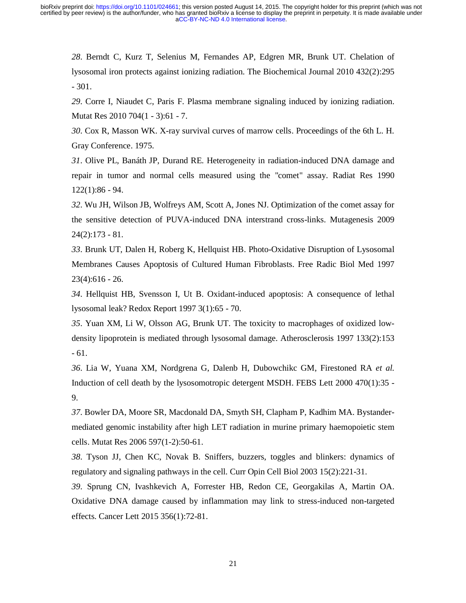*28*. Berndt C, Kurz T, Selenius M, Fernandes AP, Edgren MR, Brunk UT. Chelation of lysosomal iron protects against ionizing radiation. The Biochemical Journal 2010 432(2):295 - 301.

*29*. Corre I, Niaudet C, Paris F. Plasma membrane signaling induced by ionizing radiation. Mutat Res 2010 704(1 - 3):61 - 7.

*30*. Cox R, Masson WK. X-ray survival curves of marrow cells. Proceedings of the 6th L. H. Gray Conference. 1975.

*31*. Olive PL, Banáth JP, Durand RE. Heterogeneity in radiation-induced DNA damage and repair in tumor and normal cells measured using the "comet" assay. Radiat Res 1990 122(1):86 - 94.

*32*. Wu JH, Wilson JB, Wolfreys AM, Scott A, Jones NJ. Optimization of the comet assay for the sensitive detection of PUVA-induced DNA interstrand cross-links. Mutagenesis 2009 24(2):173 - 81.

*33*. Brunk UT, Dalen H, Roberg K, Hellquist HB. Photo-Oxidative Disruption of Lysosomal Membranes Causes Apoptosis of Cultured Human Fibroblasts. Free Radic Biol Med 1997 23(4):616 - 26.

*34*. Hellquist HB, Svensson I, Ut B. Oxidant-induced apoptosis: A consequence of lethal lysosomal leak? Redox Report 1997 3(1):65 - 70.

*35*. Yuan XM, Li W, Olsson AG, Brunk UT. The toxicity to macrophages of oxidized lowdensity lipoprotein is mediated through lysosomal damage. Atherosclerosis 1997 133(2):153 - 61.

*36*. Lia W, Yuana XM, Nordgrena G, Dalenb H, Dubowchikc GM, Firestoned RA *et al.* Induction of cell death by the lysosomotropic detergent MSDH. FEBS Lett 2000 470(1):35 - 9.

*37*. Bowler DA, Moore SR, Macdonald DA, Smyth SH, Clapham P, Kadhim MA. Bystandermediated genomic instability after high LET radiation in murine primary haemopoietic stem cells. Mutat Res 2006 597(1-2):50-61.

*38*. Tyson JJ, Chen KC, Novak B. Sniffers, buzzers, toggles and blinkers: dynamics of regulatory and signaling pathways in the cell. Curr Opin Cell Biol 2003 15(2):221-31.

*39*. Sprung CN, Ivashkevich A, Forrester HB, Redon CE, Georgakilas A, Martin OA. Oxidative DNA damage caused by inflammation may link to stress-induced non-targeted effects. Cancer Lett 2015 356(1):72-81.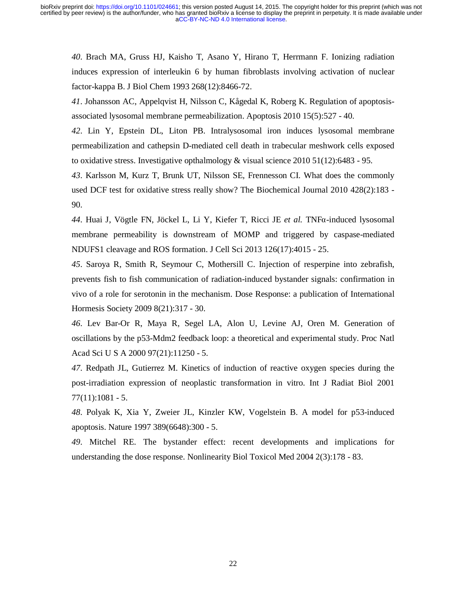*40*. Brach MA, Gruss HJ, Kaisho T, Asano Y, Hirano T, Herrmann F. Ionizing radiation induces expression of interleukin 6 by human fibroblasts involving activation of nuclear factor-kappa B. J Biol Chem 1993 268(12):8466-72.

*41*. Johansson AC, Appelqvist H, Nilsson C, Kågedal K, Roberg K. Regulation of apoptosisassociated lysosomal membrane permeabilization. Apoptosis 2010 15(5):527 - 40.

*42*. Lin Y, Epstein DL, Liton PB. Intralysosomal iron induces lysosomal membrane permeabilization and cathepsin D-mediated cell death in trabecular meshwork cells exposed to oxidative stress. Investigative opthalmology  $\&$  visual science 2010 51(12):6483 - 95.

*43*. Karlsson M, Kurz T, Brunk UT, Nilsson SE, Frennesson CI. What does the commonly used DCF test for oxidative stress really show? The Biochemical Journal 2010 428(2):183 - 90.

*<sup>44</sup>*. Huai J, Vögtle FN, Jöckel L, Li Y, Kiefer T, Ricci JE *et al.* TNFα-induced lysosomal membrane permeability is downstream of MOMP and triggered by caspase-mediated NDUFS1 cleavage and ROS formation. J Cell Sci 2013 126(17):4015 - 25.

*45*. Saroya R, Smith R, Seymour C, Mothersill C. Injection of resperpine into zebrafish, prevents fish to fish communication of radiation-induced bystander signals: confirmation in vivo of a role for serotonin in the mechanism. Dose Response: a publication of International Hormesis Society 2009 8(21):317 - 30.

*46*. Lev Bar-Or R, Maya R, Segel LA, Alon U, Levine AJ, Oren M. Generation of oscillations by the p53-Mdm2 feedback loop: a theoretical and experimental study. Proc Natl Acad Sci U S A 2000 97(21):11250 - 5.

*47*. Redpath JL, Gutierrez M. Kinetics of induction of reactive oxygen species during the post-irradiation expression of neoplastic transformation in vitro. Int J Radiat Biol 2001 77(11):1081 - 5.

*48*. Polyak K, Xia Y, Zweier JL, Kinzler KW, Vogelstein B. A model for p53-induced apoptosis. Nature 1997 389(6648):300 - 5.

*49*. Mitchel RE. The bystander effect: recent developments and implications for understanding the dose response. Nonlinearity Biol Toxicol Med 2004 2(3):178 - 83.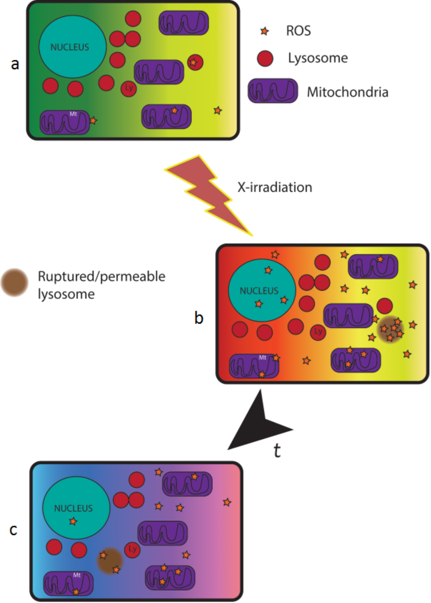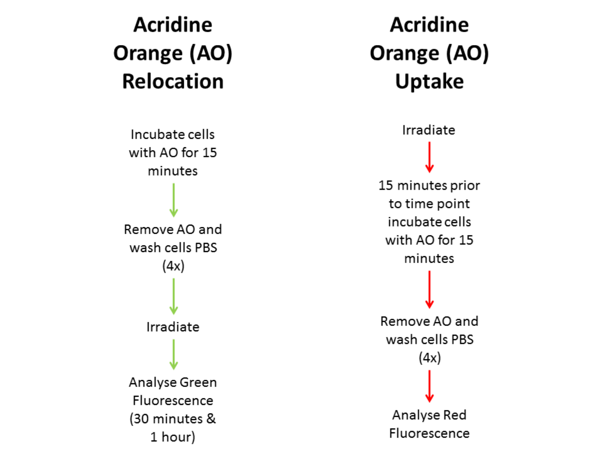

Incubate cells with AO for 15 minutes Remove AO and wash cells PBS  $(4x)$ Irradiate Analyse Green Fluorescence (30 minutes & 1 hour)

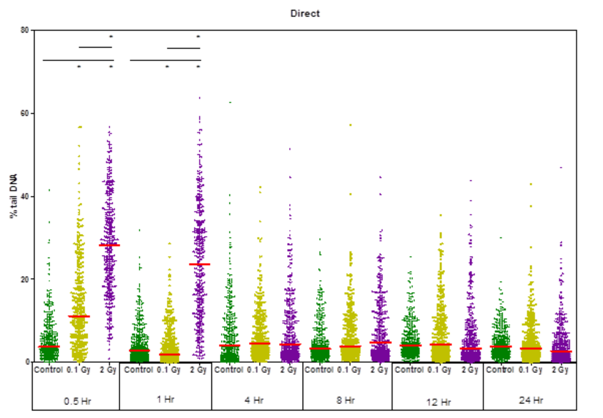| 80                   |                | ٠                        |                |   |             |                          |   |            |                |  |      |                       |  |      |                |  |      |  |
|----------------------|----------------|--------------------------|----------------|---|-------------|--------------------------|---|------------|----------------|--|------|-----------------------|--|------|----------------|--|------|--|
|                      |                |                          |                |   |             |                          |   |            |                |  |      |                       |  |      |                |  |      |  |
|                      | ۰              |                          |                | ٠ |             |                          |   |            |                |  |      |                       |  |      |                |  |      |  |
|                      |                |                          |                |   |             |                          |   |            |                |  |      |                       |  |      |                |  |      |  |
|                      |                |                          |                |   |             |                          |   |            |                |  |      |                       |  |      |                |  |      |  |
| 60                   |                |                          |                |   |             |                          |   |            |                |  |      |                       |  |      |                |  |      |  |
|                      |                |                          |                |   |             |                          |   |            |                |  |      |                       |  |      |                |  |      |  |
|                      |                | ۰                        |                |   |             |                          |   |            |                |  |      |                       |  |      |                |  |      |  |
|                      |                |                          |                |   |             |                          |   |            |                |  |      |                       |  |      |                |  |      |  |
|                      |                |                          |                |   |             |                          |   |            |                |  |      |                       |  |      |                |  |      |  |
|                      |                |                          |                |   | - 3分野中の風の雪  |                          |   |            |                |  |      |                       |  |      |                |  |      |  |
|                      |                |                          |                |   |             |                          |   |            |                |  |      |                       |  |      |                |  |      |  |
| % tail DMA<br>e<br>e |                |                          |                |   |             |                          |   |            |                |  |      |                       |  |      |                |  |      |  |
|                      | i<br>F         |                          |                |   |             |                          |   |            |                |  |      |                       |  |      |                |  |      |  |
|                      |                |                          |                |   | <b>JANA</b> |                          | v |            |                |  |      |                       |  |      |                |  | ť    |  |
|                      |                |                          |                |   |             |                          |   | ž          |                |  | ÷    |                       |  |      |                |  |      |  |
|                      | ۹              | ··· ホート···· 全部全部主義全国学生学生 |                |   |             | ÷                        |   |            |                |  | 喜    |                       |  |      |                |  |      |  |
| 20                   |                |                          |                |   |             | <b>THE REAL PROPERTY</b> | Ì | 第六章 東京 ネット |                |  |      | <b>Figure</b> externe |  |      |                |  | ś    |  |
|                      |                |                          |                | È |             |                          |   |            |                |  |      |                       |  | できまえ | 言葉             |  | 医血管  |  |
|                      | 医心理            |                          | 現在ます!          |   |             |                          |   |            | 再变乐天皇,         |  |      |                       |  |      |                |  |      |  |
|                      |                |                          |                |   |             |                          |   |            |                |  |      |                       |  |      |                |  |      |  |
|                      |                |                          |                |   | 赤土金石高高金石金石  | 5                        |   |            |                |  |      |                       |  |      |                |  |      |  |
| ٥                    |                |                          |                |   |             |                          |   |            |                |  |      |                       |  |      |                |  |      |  |
|                      | Control 0.1 Gy | 2 Gy                     | Control 0.1 Gy |   | 2 Gy        | Control 0.1 Gy           |   | 2 Gy       | Control 0.1 Gy |  | 2 Gy | Control 0.1 Gy        |  | 2 Gy | Control 0.1 Gy |  | 2 Gy |  |
|                      |                |                          |                |   |             |                          |   |            |                |  |      |                       |  |      |                |  |      |  |
|                      | 0.5 Hr         |                          | 1 Hr           |   |             | 4 Hr                     |   |            | 8 Hr           |  |      | 12 Hr                 |  |      | 24 Hr          |  |      |  |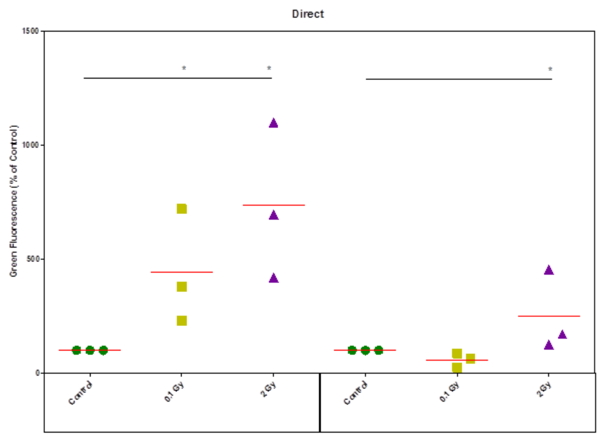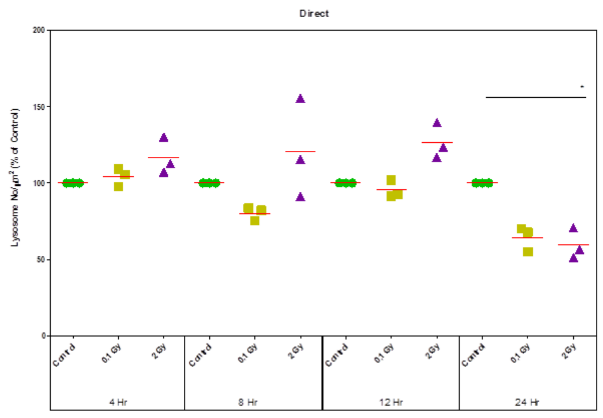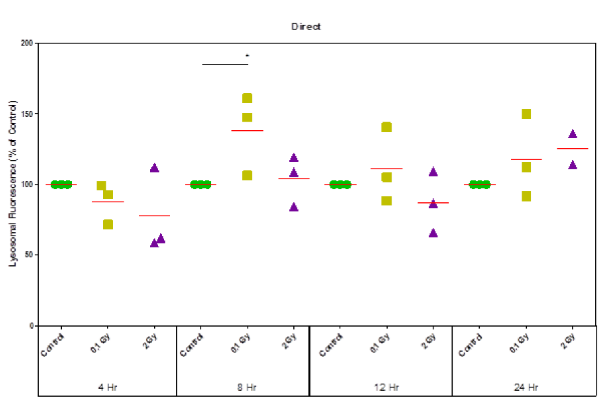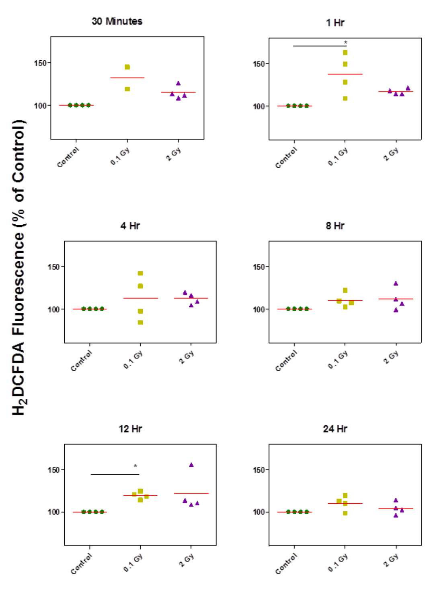30 Minutes

 $1<sub>hr</sub>$ 















24 Hr

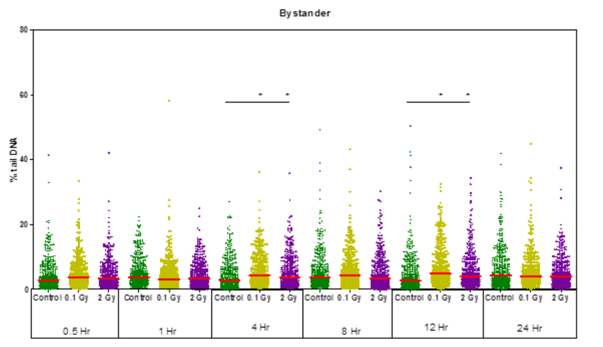

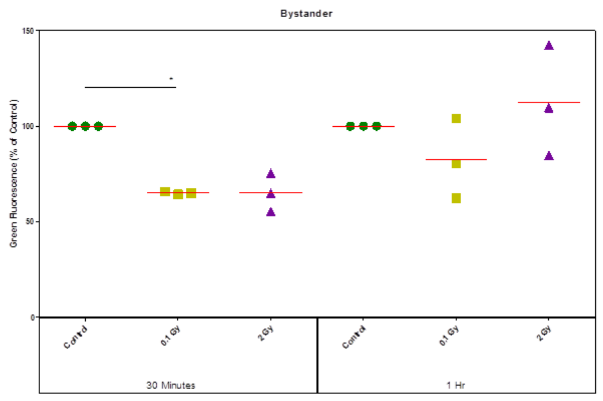

Bystander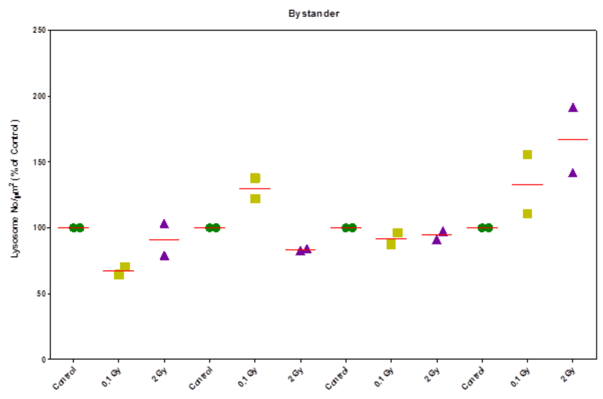Bystander



Lysosome No/pm<sup>2</sup> (%d Control)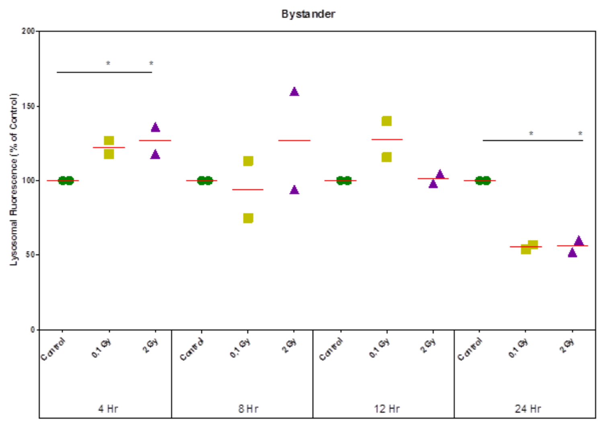

**Bystander**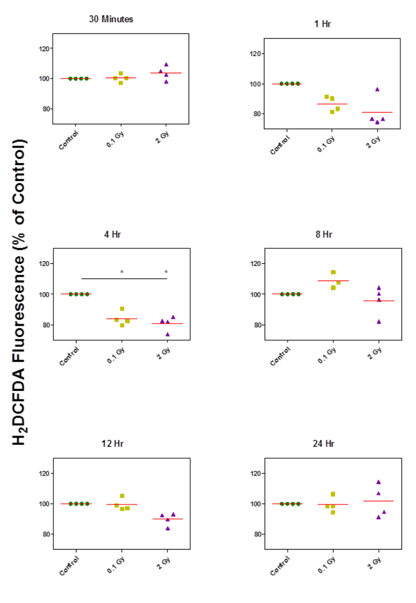30 Minutes